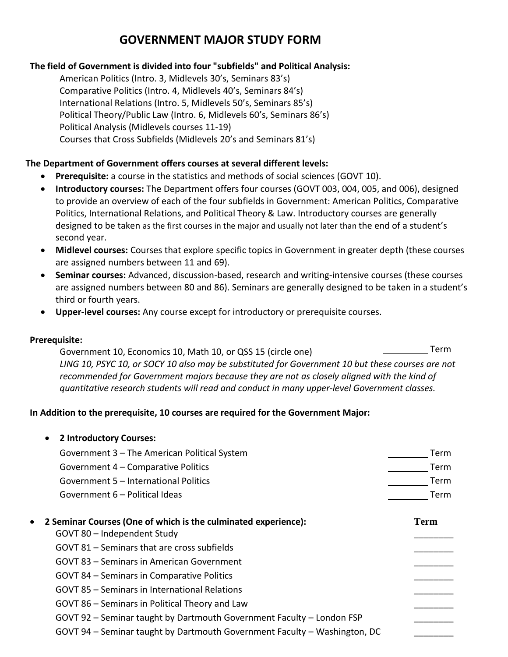# **GOVERNMENT MAJOR STUDY FORM**

## **The field of Government is divided into four "subfields" and Political Analysis:**

American Politics (Intro. 3, Midlevels 30's, Seminars 83's) Comparative Politics (Intro. 4, Midlevels 40's, Seminars 84's) International Relations (Intro. 5, Midlevels 50's, Seminars 85's) Political Theory/Public Law (Intro. 6, Midlevels 60's, Seminars 86's) Political Analysis (Midlevels courses 11-19) Courses that Cross Subfields (Midlevels 20's and Seminars 81's)

## **The Department of Government offers courses at several different levels:**

- **Prerequisite:** a course in the statistics and methods of social sciences (GOVT 10).
- **Introductory courses:** The Department offers four courses (GOVT 003, 004, 005, and 006), designed to provide an overview of each of the four subfields in Government: American Politics, Comparative Politics, International Relations, and Political Theory & Law. Introductory courses are generally designed to be taken as the first courses in the major and usually not later than the end of a student's second year.
- **Midlevel courses:** Courses that explore specific topics in Government in greater depth (these courses are assigned numbers between 11 and 69).
- **Seminar courses:** Advanced, discussion-based, research and writing-intensive courses (these courses are assigned numbers between 80 and 86). Seminars are generally designed to be taken in a student's third or fourth years.
- **Upper-level courses:** Any course except for introductory or prerequisite courses.

### **Prerequisite:**

Government 10, Economics 10, Math 10, or QSS 15 (circle one) The Contract Control of the Term *LING 10, PSYC 10, or SOCY 10 also may be substituted for Government 10 but these courses are not recommended for Government majors because they are not as closely aligned with the kind of quantitative research students will read and conduct in many upper-level Government classes.*

### **In Addition to the prerequisite, 10 courses are required for the Government Major:**

| 2 Introductory Courses:                                                     |      |
|-----------------------------------------------------------------------------|------|
| Government 3 - The American Political System                                | Term |
| Government 4 - Comparative Politics                                         | Term |
| Government 5 - International Politics                                       | Term |
| Government 6 – Political Ideas                                              | Term |
| 2 Seminar Courses (One of which is the culminated experience):<br>$\bullet$ | Term |
| GOVT 80 - Independent Study                                                 |      |
| GOVT 81 – Seminars that are cross subfields                                 |      |
| GOVT 83 – Seminars in American Government                                   |      |
| GOVT 84 – Seminars in Comparative Politics                                  |      |
| GOVT 85 – Seminars in International Relations                               |      |
| GOVT 86 – Seminars in Political Theory and Law                              |      |
| GOVT 92 - Seminar taught by Dartmouth Government Faculty - London FSP       |      |
| GOVT 94 - Seminar taught by Dartmouth Government Faculty - Washington, DC   |      |
|                                                                             |      |